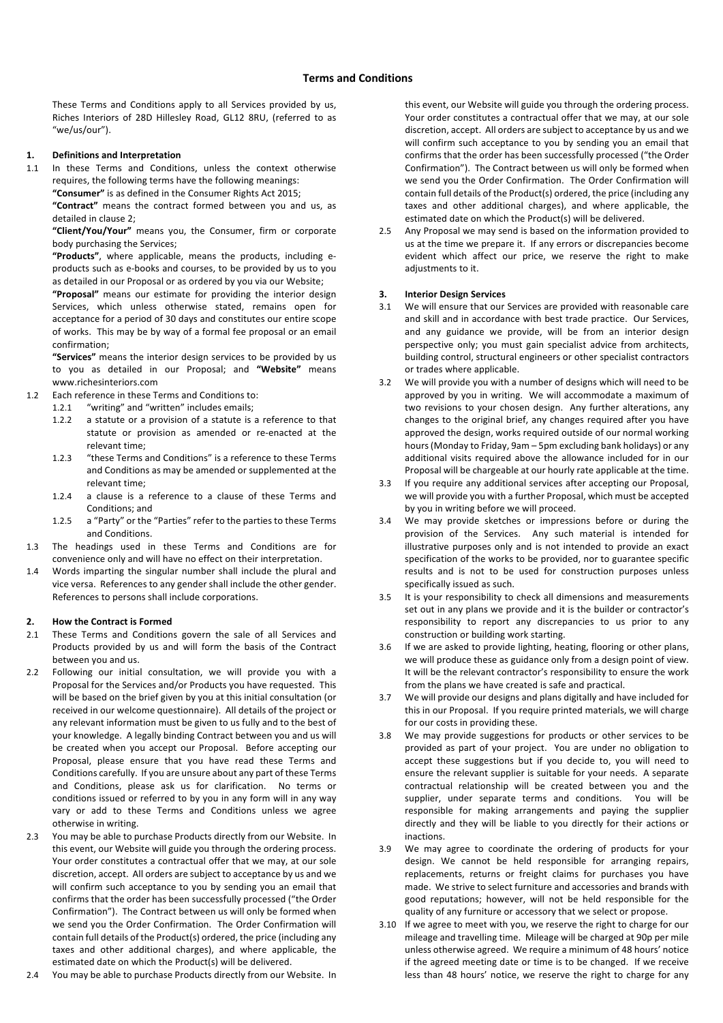These Terms and Conditions apply to all Services provided by us, Riches Interiors of 28D Hillesley Road, GL12 8RU, (referred to as "we/us/our").

## **1. Definitions and Interpretation**

1.1 In these Terms and Conditions, unless the context otherwise requires, the following terms have the following meanings:

**"Consumer"** is as defined in the Consumer Rights Act 2015;

**"Contract"** means the contract formed between you and us, as detailed in clause 2;

**"Client/You/Your"** means you, the Consumer, firm or corporate body purchasing the Services;

**"Products"**, where applicable, means the products, including eproducts such as e-books and courses, to be provided by us to you as detailed in our Proposal or as ordered by you via our Website;

**"Proposal"** means our estimate for providing the interior design Services, which unless otherwise stated, remains open for acceptance for a period of 30 days and constitutes our entire scope of works. This may be by way of a formal fee proposal or an email confirmation;

**"Services"** means the interior design services to be provided by us to you as detailed in our Proposal; and **"Website"** means www.richesinteriors.com

- 1.2 Each reference in these Terms and Conditions to:
	- 1.2.1 "writing" and "written" includes emails;
	- 1.2.2 a statute or a provision of a statute is a reference to that statute or provision as amended or re-enacted at the relevant time;
	- 1.2.3 "these Terms and Conditions" is a reference to these Terms and Conditions as may be amended or supplemented at the relevant time;
	- 1.2.4 a clause is a reference to a clause of these Terms and Conditions; and
	- 1.2.5 a "Party" or the "Parties" refer to the parties to these Terms and Conditions.
- 1.3 The headings used in these Terms and Conditions are for convenience only and will have no effect on their interpretation.
- 1.4 Words imparting the singular number shall include the plural and vice versa. References to any gender shall include the other gender. References to persons shall include corporations.

#### **2. How the Contract is Formed**

- 2.1 These Terms and Conditions govern the sale of all Services and Products provided by us and will form the basis of the Contract between you and us.
- 2.2 Following our initial consultation, we will provide you with a Proposal for the Services and/or Products you have requested. This will be based on the brief given by you at this initial consultation (or received in our welcome questionnaire). All details of the project or any relevant information must be given to us fully and to the best of your knowledge. A legally binding Contract between you and us will be created when you accept our Proposal. Before accepting our Proposal, please ensure that you have read these Terms and Conditions carefully. If you are unsure about any part of these Terms and Conditions, please ask us for clarification. No terms or conditions issued or referred to by you in any form will in any way vary or add to these Terms and Conditions unless we agree otherwise in writing.
- 2.3 You may be able to purchase Products directly from our Website. In this event, our Website will guide you through the ordering process. Your order constitutes a contractual offer that we may, at our sole discretion, accept. All orders are subject to acceptance by us and we will confirm such acceptance to you by sending you an email that confirms that the order has been successfully processed ("the Order Confirmation"). The Contract between us will only be formed when we send you the Order Confirmation. The Order Confirmation will contain full details of the Product(s) ordered, the price (including any taxes and other additional charges), and where applicable, the estimated date on which the Product(s) will be delivered.
- 2.4 You may be able to purchase Products directly from our Website. In

this event, our Website will guide you through the ordering process. Your order constitutes a contractual offer that we may, at our sole discretion, accept. All orders are subject to acceptance by us and we will confirm such acceptance to you by sending you an email that confirms that the order has been successfully processed ("the Order Confirmation"). The Contract between us will only be formed when we send you the Order Confirmation. The Order Confirmation will contain full details of the Product(s) ordered, the price (including any taxes and other additional charges), and where applicable, the estimated date on which the Product(s) will be delivered.

2.5 Any Proposal we may send is based on the information provided to us at the time we prepare it. If any errors or discrepancies become evident which affect our price, we reserve the right to make adiustments to it.

#### **3. Interior Design Services**

- 3.1 We will ensure that our Services are provided with reasonable care and skill and in accordance with best trade practice. Our Services, and any guidance we provide, will be from an interior design perspective only; you must gain specialist advice from architects, building control, structural engineers or other specialist contractors or trades where applicable.
- 3.2 We will provide you with a number of designs which will need to be approved by you in writing. We will accommodate a maximum of two revisions to your chosen design. Any further alterations, any changes to the original brief, any changes required after you have approved the design, works required outside of our normal working hours(Monday to Friday, 9am – 5pm excluding bank holidays) or any additional visits required above the allowance included for in our Proposal will be chargeable at our hourly rate applicable at the time.
- 3.3 If you require any additional services after accepting our Proposal, we will provide you with a further Proposal, which must be accepted by you in writing before we will proceed.
- 3.4 We may provide sketches or impressions before or during the provision of the Services. Any such material is intended for illustrative purposes only and is not intended to provide an exact specification of the works to be provided, nor to guarantee specific results and is not to be used for construction purposes unless specifically issued as such.
- 3.5 It is your responsibility to check all dimensions and measurements set out in any plans we provide and it is the builder or contractor's responsibility to report any discrepancies to us prior to any construction or building work starting.
- 3.6 If we are asked to provide lighting, heating, flooring or other plans, we will produce these as guidance only from a design point of view. It will be the relevant contractor's responsibility to ensure the work from the plans we have created is safe and practical.
- 3.7 We will provide our designs and plans digitally and have included for this in our Proposal. If you require printed materials, we will charge for our costs in providing these.
- 3.8 We may provide suggestions for products or other services to be provided as part of your project. You are under no obligation to accept these suggestions but if you decide to, you will need to ensure the relevant supplier is suitable for your needs. A separate contractual relationship will be created between you and the supplier, under separate terms and conditions. You will be responsible for making arrangements and paying the supplier directly and they will be liable to you directly for their actions or inactions.
- 3.9 We may agree to coordinate the ordering of products for your design. We cannot be held responsible for arranging repairs, replacements, returns or freight claims for purchases you have made. We strive to select furniture and accessories and brands with good reputations; however, will not be held responsible for the quality of any furniture or accessory that we select or propose.
- 3.10 If we agree to meet with you, we reserve the right to charge for our mileage and travelling time. Mileage will be charged at 90p per mile unless otherwise agreed. We require a minimum of 48 hours' notice if the agreed meeting date or time is to be changed. If we receive less than 48 hours' notice, we reserve the right to charge for any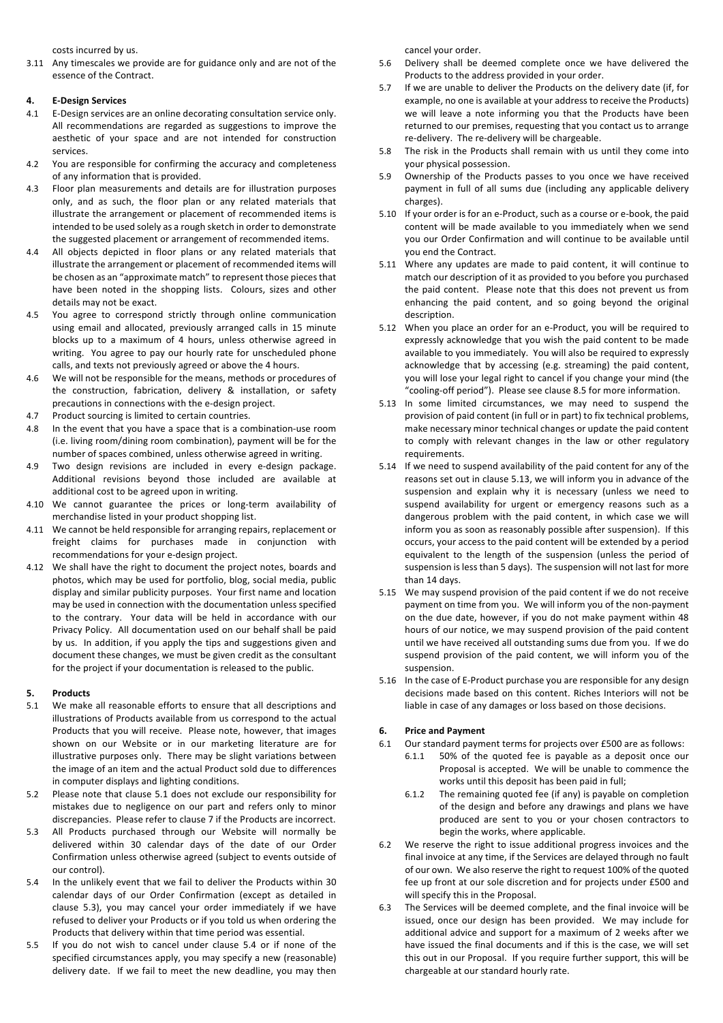costs incurred by us.

3.11 Any timescales we provide are for guidance only and are not of the essence of the Contract.

## **4. E-Design Services**

- 4.1 E-Design services are an online decorating consultation service only. All recommendations are regarded as suggestions to improve the aesthetic of your space and are not intended for construction services.
- 4.2 You are responsible for confirming the accuracy and completeness of any information that is provided.
- 4.3 Floor plan measurements and details are for illustration purposes only, and as such, the floor plan or any related materials that illustrate the arrangement or placement of recommended items is intended to be used solely as a rough sketch in order to demonstrate the suggested placement or arrangement of recommended items.
- 4.4 All objects depicted in floor plans or any related materials that illustrate the arrangement or placement of recommended items will be chosen as an "approximate match" to represent those pieces that have been noted in the shopping lists. Colours, sizes and other details may not be exact.
- 4.5 You agree to correspond strictly through online communication using email and allocated, previously arranged calls in 15 minute blocks up to a maximum of 4 hours, unless otherwise agreed in writing. You agree to pay our hourly rate for unscheduled phone calls, and texts not previously agreed or above the 4 hours.
- 4.6 We will not be responsible for the means, methods or procedures of the construction, fabrication, delivery & installation, or safety precautions in connections with the e-design project.
- 4.7 Product sourcing is limited to certain countries.
- 4.8 In the event that you have a space that is a combination-use room (i.e. living room/dining room combination), payment will be for the number of spaces combined, unless otherwise agreed in writing.
- 4.9 Two design revisions are included in every e-design package. Additional revisions beyond those included are available at additional cost to be agreed upon in writing.
- 4.10 We cannot guarantee the prices or long-term availability of merchandise listed in your product shopping list.
- 4.11 We cannot be held responsible for arranging repairs, replacement or freight claims for purchases made in conjunction with recommendations for your e-design project.
- 4.12 We shall have the right to document the project notes, boards and photos, which may be used for portfolio, blog, social media, public display and similar publicity purposes. Your first name and location may be used in connection with the documentation unless specified to the contrary. Your data will be held in accordance with our Privacy Policy. All documentation used on our behalf shall be paid by us. In addition, if you apply the tips and suggestions given and document these changes, we must be given credit as the consultant for the project if your documentation is released to the public.

# **5. Products**

- 5.1 We make all reasonable efforts to ensure that all descriptions and illustrations of Products available from us correspond to the actual Products that you will receive. Please note, however, that images shown on our Website or in our marketing literature are for illustrative purposes only. There may be slight variations between the image of an item and the actual Product sold due to differences in computer displays and lighting conditions.
- 5.2 Please note that clause 5.1 does not exclude our responsibility for mistakes due to negligence on our part and refers only to minor discrepancies. Please refer to clause 7 if the Products are incorrect.
- 5.3 All Products purchased through our Website will normally be delivered within 30 calendar days of the date of our Order Confirmation unless otherwise agreed (subject to events outside of our control).
- 5.4 In the unlikely event that we fail to deliver the Products within 30 calendar days of our Order Confirmation (except as detailed in clause 5.3), you may cancel your order immediately if we have refused to deliver your Products or if you told us when ordering the Products that delivery within that time period was essential.
- 5.5 If you do not wish to cancel under clause 5.4 or if none of the specified circumstances apply, you may specify a new (reasonable) delivery date. If we fail to meet the new deadline, you may then

cancel your order.

- 5.6 Delivery shall be deemed complete once we have delivered the Products to the address provided in your order.
- 5.7 If we are unable to deliver the Products on the delivery date (if, for example, no one is available at your address to receive the Products) we will leave a note informing you that the Products have been returned to our premises, requesting that you contact us to arrange re-delivery. The re-delivery will be chargeable.
- 5.8 The risk in the Products shall remain with us until they come into your physical possession.
- 5.9 Ownership of the Products passes to you once we have received payment in full of all sums due (including any applicable delivery charges).
- 5.10 If your order is for an e-Product, such as a course or e-book, the paid content will be made available to you immediately when we send you our Order Confirmation and will continue to be available until you end the Contract.
- 5.11 Where any updates are made to paid content, it will continue to match our description of it as provided to you before you purchased the paid content. Please note that this does not prevent us from enhancing the paid content, and so going beyond the original description.
- 5.12 When you place an order for an e-Product, you will be required to expressly acknowledge that you wish the paid content to be made available to you immediately. You will also be required to expressly acknowledge that by accessing (e.g. streaming) the paid content, you will lose your legal right to cancel if you change your mind (the "cooling-off period"). Please see clause 8.5 for more information.
- 5.13 In some limited circumstances, we may need to suspend the provision of paid content (in full or in part) to fix technical problems, make necessary minor technical changes or update the paid content to comply with relevant changes in the law or other regulatory requirements.
- 5.14 If we need to suspend availability of the paid content for any of the reasons set out in clause 5.13, we will inform you in advance of the suspension and explain why it is necessary (unless we need to suspend availability for urgent or emergency reasons such as a dangerous problem with the paid content, in which case we will inform you as soon as reasonably possible after suspension). If this occurs, your access to the paid content will be extended by a period equivalent to the length of the suspension (unless the period of suspension is less than 5 days). The suspension will not last for more than 14 days.
- 5.15 We may suspend provision of the paid content if we do not receive payment on time from you. We will inform you of the non-payment on the due date, however, if you do not make payment within 48 hours of our notice, we may suspend provision of the paid content until we have received all outstanding sums due from you. If we do suspend provision of the paid content, we will inform you of the suspension.
- 5.16 In the case of E-Product purchase you are responsible for any design decisions made based on this content. Riches Interiors will not be liable in case of any damages or loss based on those decisions.

# **6. Price and Payment**

- 6.1 Our standard payment terms for projects over £500 are as follows:
	- 6.1.1 50% of the quoted fee is payable as a deposit once our Proposal is accepted. We will be unable to commence the works until this deposit has been paid in full;
	- 6.1.2 The remaining quoted fee (if any) is payable on completion of the design and before any drawings and plans we have produced are sent to you or your chosen contractors to begin the works, where applicable.
- 6.2 We reserve the right to issue additional progress invoices and the final invoice at any time, if the Services are delayed through no fault of our own. We also reserve the right to request 100% of the quoted fee up front at our sole discretion and for projects under £500 and will specify this in the Proposal.
- 6.3 The Services will be deemed complete, and the final invoice will be issued, once our design has been provided. We may include for additional advice and support for a maximum of 2 weeks after we have issued the final documents and if this is the case, we will set this out in our Proposal. If you require further support, this will be chargeable at our standard hourly rate.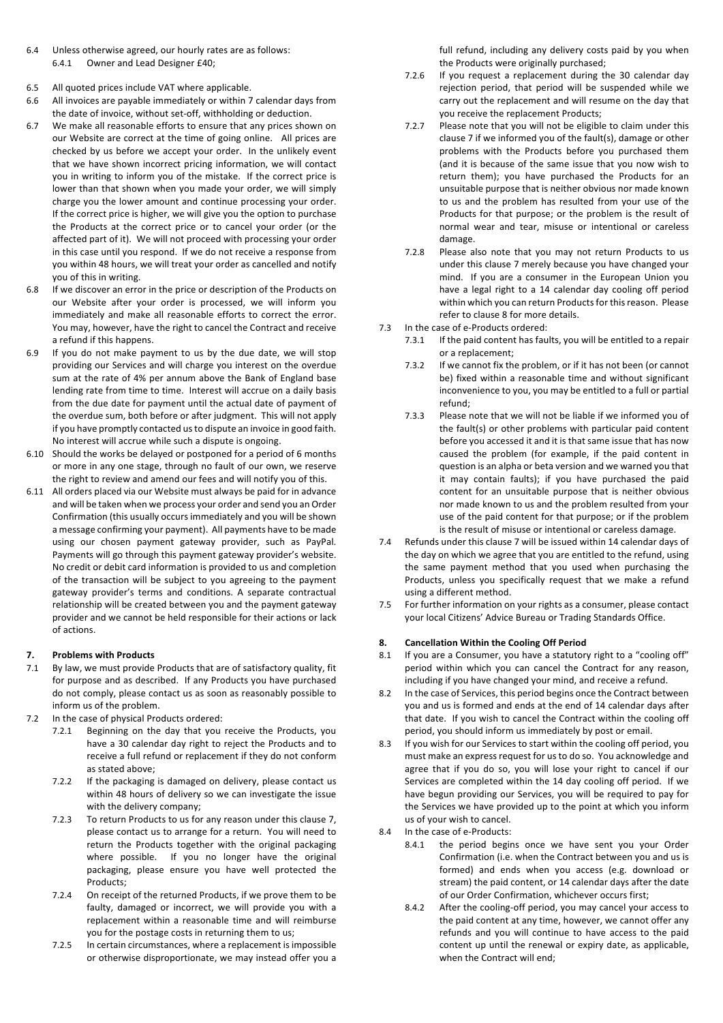- 6.4 Unless otherwise agreed, our hourly rates are as follows: 6.4.1 Owner and Lead Designer £40;
- 6.5 All quoted prices include VAT where applicable.
- 6.6 All invoices are payable immediately or within 7 calendar days from the date of invoice, without set-off, withholding or deduction.
- 6.7 We make all reasonable efforts to ensure that any prices shown on our Website are correct at the time of going online. All prices are checked by us before we accept your order. In the unlikely event that we have shown incorrect pricing information, we will contact you in writing to inform you of the mistake. If the correct price is lower than that shown when you made your order, we will simply charge you the lower amount and continue processing your order. If the correct price is higher, we will give you the option to purchase the Products at the correct price or to cancel your order (or the affected part of it). We will not proceed with processing your order in this case until you respond. If we do not receive a response from you within 48 hours, we will treat your order as cancelled and notify you of this in writing.
- 6.8 If we discover an error in the price or description of the Products on our Website after your order is processed, we will inform you immediately and make all reasonable efforts to correct the error. You may, however, have the right to cancel the Contract and receive a refund if this happens.
- 6.9 If you do not make payment to us by the due date, we will stop providing our Services and will charge you interest on the overdue sum at the rate of 4% per annum above the Bank of England base lending rate from time to time. Interest will accrue on a daily basis from the due date for payment until the actual date of payment of the overdue sum, both before or after judgment. This will not apply if you have promptly contacted us to dispute an invoice in good faith. No interest will accrue while such a dispute is ongoing.
- 6.10 Should the works be delayed or postponed for a period of 6 months or more in any one stage, through no fault of our own, we reserve the right to review and amend our fees and will notify you of this.
- 6.11 All orders placed via our Website must always be paid for in advance and will be taken when we process your order and send you an Order Confirmation (this usually occurs immediately and you will be shown a message confirming your payment). All payments have to be made using our chosen payment gateway provider, such as PayPal. Payments will go through this payment gateway provider's website. No credit or debit card information is provided to us and completion of the transaction will be subject to you agreeing to the payment gateway provider's terms and conditions. A separate contractual relationship will be created between you and the payment gateway provider and we cannot be held responsible for their actions or lack of actions.

## **7. Problems with Products**

- 7.1 By law, we must provide Products that are of satisfactory quality, fit for purpose and as described. If any Products you have purchased do not comply, please contact us as soon as reasonably possible to inform us of the problem.
- 7.2 In the case of physical Products ordered:
	- 7.2.1 Beginning on the day that you receive the Products, you have a 30 calendar day right to reject the Products and to receive a full refund or replacement if they do not conform as stated above;
	- 7.2.2 If the packaging is damaged on delivery, please contact us within 48 hours of delivery so we can investigate the issue with the delivery company;
	- 7.2.3 To return Products to us for any reason under this clause 7, please contact us to arrange for a return. You will need to return the Products together with the original packaging where possible. If you no longer have the original packaging, please ensure you have well protected the Products;
	- 7.2.4 On receipt of the returned Products, if we prove them to be faulty, damaged or incorrect, we will provide you with a replacement within a reasonable time and will reimburse you for the postage costs in returning them to us;
	- 7.2.5 In certain circumstances, where a replacement is impossible or otherwise disproportionate, we may instead offer you a

full refund, including any delivery costs paid by you when the Products were originally purchased;

- 7.2.6 If you request a replacement during the 30 calendar day rejection period, that period will be suspended while we carry out the replacement and will resume on the day that you receive the replacement Products;
- 7.2.7 Please note that you will not be eligible to claim under this clause 7 if we informed you of the fault(s), damage or other problems with the Products before you purchased them (and it is because of the same issue that you now wish to return them); you have purchased the Products for an unsuitable purpose that is neither obvious nor made known to us and the problem has resulted from your use of the Products for that purpose; or the problem is the result of normal wear and tear, misuse or intentional or careless damage.
- 7.2.8 Please also note that you may not return Products to us under this clause 7 merely because you have changed your mind. If you are a consumer in the European Union you have a legal right to a 14 calendar day cooling off period within which you can return Products for this reason. Please refer to clause 8 for more details.
- 7.3 In the case of e-Products ordered:
	- 7.3.1 If the paid content has faults, you will be entitled to a repair or a replacement;
	- 7.3.2 If we cannot fix the problem, or if it has not been (or cannot be) fixed within a reasonable time and without significant inconvenience to you, you may be entitled to a full or partial refund;
	- 7.3.3 Please note that we will not be liable if we informed you of the fault(s) or other problems with particular paid content before you accessed it and it is that same issue that has now caused the problem (for example, if the paid content in question is an alpha or beta version and we warned you that it may contain faults); if you have purchased the paid content for an unsuitable purpose that is neither obvious nor made known to us and the problem resulted from your use of the paid content for that purpose; or if the problem is the result of misuse or intentional or careless damage.
- 7.4 Refunds under this clause 7 will be issued within 14 calendar days of the day on which we agree that you are entitled to the refund, using the same payment method that you used when purchasing the Products, unless you specifically request that we make a refund using a different method.
- 7.5 For further information on your rights as a consumer, please contact your local Citizens' Advice Bureau or Trading Standards Office.

# **8. Cancellation Within the Cooling Off Period**

- 8.1 If you are a Consumer, you have a statutory right to a "cooling off" period within which you can cancel the Contract for any reason, including if you have changed your mind, and receive a refund.
- 8.2 In the case of Services, this period begins once the Contract between you and us is formed and ends at the end of 14 calendar days after that date. If you wish to cancel the Contract within the cooling off period, you should inform us immediately by post or email.
- 8.3 If you wish for our Services to start within the cooling off period, you must make an express request for us to do so. You acknowledge and agree that if you do so, you will lose your right to cancel if our Services are completed within the 14 day cooling off period. If we have begun providing our Services, you will be required to pay for the Services we have provided up to the point at which you inform us of your wish to cancel.
- 8.4 In the case of e-Products:
	- 8.4.1 the period begins once we have sent you your Order Confirmation (i.e. when the Contract between you and us is formed) and ends when you access (e.g. download or stream) the paid content, or 14 calendar days after the date of our Order Confirmation, whichever occurs first;
	- 8.4.2 After the cooling-off period, you may cancel your access to the paid content at any time, however, we cannot offer any refunds and you will continue to have access to the paid content up until the renewal or expiry date, as applicable, when the Contract will end;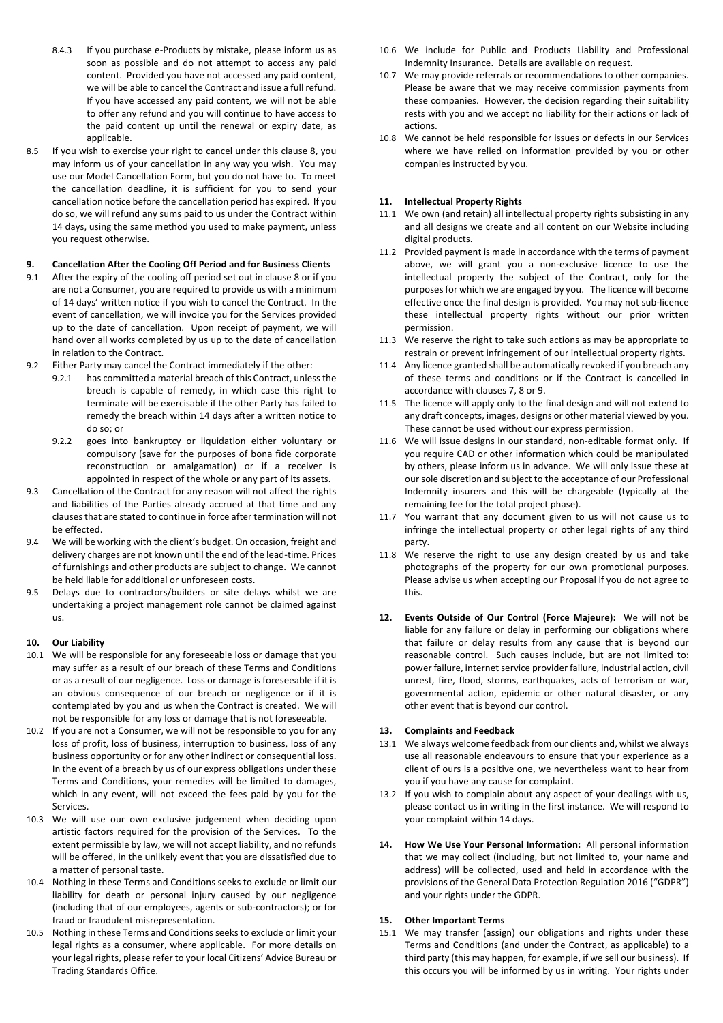- 8.4.3 If you purchase e-Products by mistake, please inform us as soon as possible and do not attempt to access any paid content. Provided you have not accessed any paid content, we will be able to cancel the Contract and issue a full refund. If you have accessed any paid content, we will not be able to offer any refund and you will continue to have access to the paid content up until the renewal or expiry date, as applicable.
- 8.5 If you wish to exercise your right to cancel under this clause 8, you may inform us of your cancellation in any way you wish. You may use our Model Cancellation Form, but you do not have to. To meet the cancellation deadline, it is sufficient for you to send your cancellation notice before the cancellation period has expired. If you do so, we will refund any sums paid to us under the Contract within 14 days, using the same method you used to make payment, unless you request otherwise.

## **9. Cancellation After the Cooling Off Period and for Business Clients**

- 9.1 After the expiry of the cooling off period set out in clause 8 or if you are not a Consumer, you are required to provide us with a minimum of 14 days' written notice if you wish to cancel the Contract. In the event of cancellation, we will invoice you for the Services provided up to the date of cancellation. Upon receipt of payment, we will hand over all works completed by us up to the date of cancellation in relation to the Contract.
- 9.2 Either Party may cancel the Contract immediately if the other:
	- 9.2.1 has committed a material breach of this Contract, unless the breach is capable of remedy, in which case this right to terminate will be exercisable if the other Party has failed to remedy the breach within 14 days after a written notice to do so; or
	- 9.2.2 goes into bankruptcy or liquidation either voluntary or compulsory (save for the purposes of bona fide corporate reconstruction or amalgamation) or if a receiver is appointed in respect of the whole or any part of its assets.
- 9.3 Cancellation of the Contract for any reason will not affect the rights and liabilities of the Parties already accrued at that time and any clauses that are stated to continue in force after termination will not be effected.
- 9.4 We will be working with the client's budget. On occasion, freight and delivery charges are not known until the end of the lead-time. Prices of furnishings and other products are subject to change. We cannot be held liable for additional or unforeseen costs.
- 9.5 Delays due to contractors/builders or site delays whilst we are undertaking a project management role cannot be claimed against us.

## **10. Our Liability**

- 10.1 We will be responsible for any foreseeable loss or damage that you may suffer as a result of our breach of these Terms and Conditions or as a result of our negligence. Loss or damage is foreseeable if it is an obvious consequence of our breach or negligence or if it is contemplated by you and us when the Contract is created. We will not be responsible for any loss or damage that is not foreseeable.
- 10.2 If you are not a Consumer, we will not be responsible to you for any loss of profit, loss of business, interruption to business, loss of any business opportunity or for any other indirect or consequential loss. In the event of a breach by us of our express obligations under these Terms and Conditions, your remedies will be limited to damages, which in any event, will not exceed the fees paid by you for the Services.
- 10.3 We will use our own exclusive judgement when deciding upon artistic factors required for the provision of the Services. To the extent permissible by law, we will not accept liability, and no refunds will be offered, in the unlikely event that you are dissatisfied due to a matter of personal taste.
- 10.4 Nothing in these Terms and Conditions seeks to exclude or limit our liability for death or personal injury caused by our negligence (including that of our employees, agents or sub-contractors); or for fraud or fraudulent misrepresentation.
- 10.5 Nothing in these Terms and Conditions seeks to exclude or limit your legal rights as a consumer, where applicable. For more details on your legal rights, please refer to your local Citizens' Advice Bureau or Trading Standards Office.
- 10.6 We include for Public and Products Liability and Professional Indemnity Insurance. Details are available on request.
- 10.7 We may provide referrals or recommendations to other companies. Please be aware that we may receive commission payments from these companies. However, the decision regarding their suitability rests with you and we accept no liability for their actions or lack of actions.
- 10.8 We cannot be held responsible for issues or defects in our Services where we have relied on information provided by you or other companies instructed by you.

### **11. Intellectual Property Rights**

- 11.1 We own (and retain) all intellectual property rights subsisting in any and all designs we create and all content on our Website including digital products.
- 11.2 Provided payment is made in accordance with the terms of payment above, we will grant you a non-exclusive licence to use the intellectual property the subject of the Contract, only for the purposes for which we are engaged by you. The licence will become effective once the final design is provided. You may not sub-licence these intellectual property rights without our prior written permission.
- 11.3 We reserve the right to take such actions as may be appropriate to restrain or prevent infringement of our intellectual property rights.
- 11.4 Any licence granted shall be automatically revoked if you breach any of these terms and conditions or if the Contract is cancelled in accordance with clauses 7, 8 or 9.
- 11.5 The licence will apply only to the final design and will not extend to any draft concepts, images, designs or other material viewed by you. These cannot be used without our express permission.
- 11.6 We will issue designs in our standard, non-editable format only. If you require CAD or other information which could be manipulated by others, please inform us in advance. We will only issue these at our sole discretion and subject to the acceptance of our Professional Indemnity insurers and this will be chargeable (typically at the remaining fee for the total project phase).
- 11.7 You warrant that any document given to us will not cause us to infringe the intellectual property or other legal rights of any third party.
- 11.8 We reserve the right to use any design created by us and take photographs of the property for our own promotional purposes. Please advise us when accepting our Proposal if you do not agree to this.
- **12. Events Outside of Our Control (Force Majeure):** We will not be liable for any failure or delay in performing our obligations where that failure or delay results from any cause that is beyond our reasonable control. Such causes include, but are not limited to: power failure, internet service provider failure, industrial action, civil unrest, fire, flood, storms, earthquakes, acts of terrorism or war, governmental action, epidemic or other natural disaster, or any other event that is beyond our control.

### **13. Complaints and Feedback**

- 13.1 We always welcome feedback from our clients and, whilst we always use all reasonable endeavours to ensure that your experience as a client of ours is a positive one, we nevertheless want to hear from you if you have any cause for complaint.
- 13.2 If you wish to complain about any aspect of your dealings with us, please contact us in writing in the first instance. We will respond to your complaint within 14 days.
- **14. How We Use Your Personal Information:** All personal information that we may collect (including, but not limited to, your name and address) will be collected, used and held in accordance with the provisions of the General Data Protection Regulation 2016 ("GDPR") and your rights under the GDPR.

#### **15. Other Important Terms**

15.1 We may transfer (assign) our obligations and rights under these Terms and Conditions (and under the Contract, as applicable) to a third party (this may happen, for example, if we sell our business). If this occurs you will be informed by us in writing. Your rights under